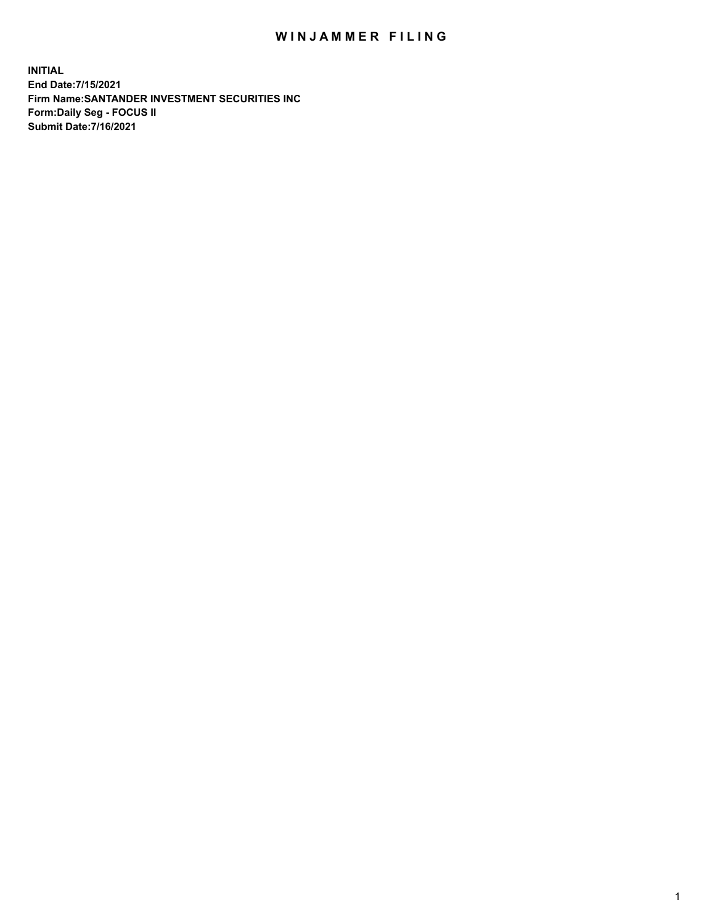## WIN JAMMER FILING

**INITIAL End Date:7/15/2021 Firm Name:SANTANDER INVESTMENT SECURITIES INC Form:Daily Seg - FOCUS II Submit Date:7/16/2021**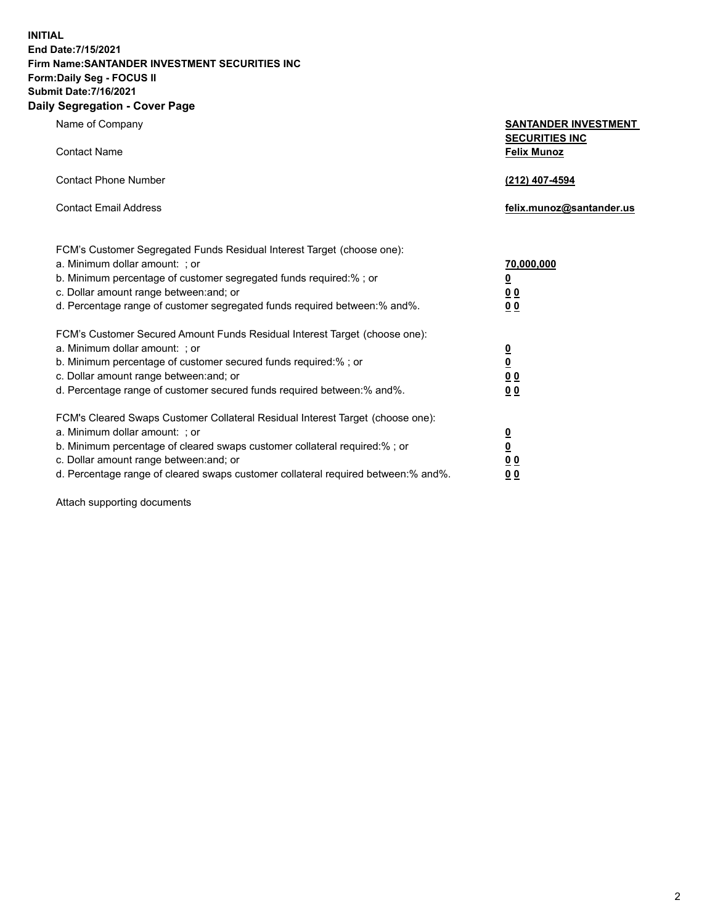**INITIAL End Date:7/15/2021 Firm Name:SANTANDER INVESTMENT SECURITIES INC Form:Daily Seg - FOCUS II Submit Date:7/16/2021 Daily Segregation - Cover Page**

| Name of Company                                                                   | <b>SANTANDER INVESTMENT</b><br><b>SECURITIES INC</b> |
|-----------------------------------------------------------------------------------|------------------------------------------------------|
| <b>Contact Name</b>                                                               | <b>Felix Munoz</b>                                   |
| <b>Contact Phone Number</b>                                                       | (212) 407-4594                                       |
| <b>Contact Email Address</b>                                                      | felix.munoz@santander.us                             |
| FCM's Customer Segregated Funds Residual Interest Target (choose one):            |                                                      |
| a. Minimum dollar amount: ; or                                                    | <u>70,000,000</u>                                    |
| b. Minimum percentage of customer segregated funds required:% ; or                | <u>0</u>                                             |
| c. Dollar amount range between: and; or                                           | 0 <sub>0</sub>                                       |
| d. Percentage range of customer segregated funds required between:% and%.         | 0 <sub>0</sub>                                       |
| FCM's Customer Secured Amount Funds Residual Interest Target (choose one):        |                                                      |
| a. Minimum dollar amount: ; or                                                    | $\frac{0}{0}$                                        |
| b. Minimum percentage of customer secured funds required:%; or                    |                                                      |
| c. Dollar amount range between: and; or                                           | 0 <sub>0</sub>                                       |
| d. Percentage range of customer secured funds required between:% and%.            | 0 <sub>0</sub>                                       |
| FCM's Cleared Swaps Customer Collateral Residual Interest Target (choose one):    |                                                      |
| a. Minimum dollar amount: ; or                                                    | $\overline{\mathbf{0}}$                              |
| b. Minimum percentage of cleared swaps customer collateral required:% ; or        | $\underline{\mathbf{0}}$                             |
| c. Dollar amount range between: and; or                                           | 00                                                   |
| d. Percentage range of cleared swaps customer collateral required between:% and%. | <u>00</u>                                            |

Attach supporting documents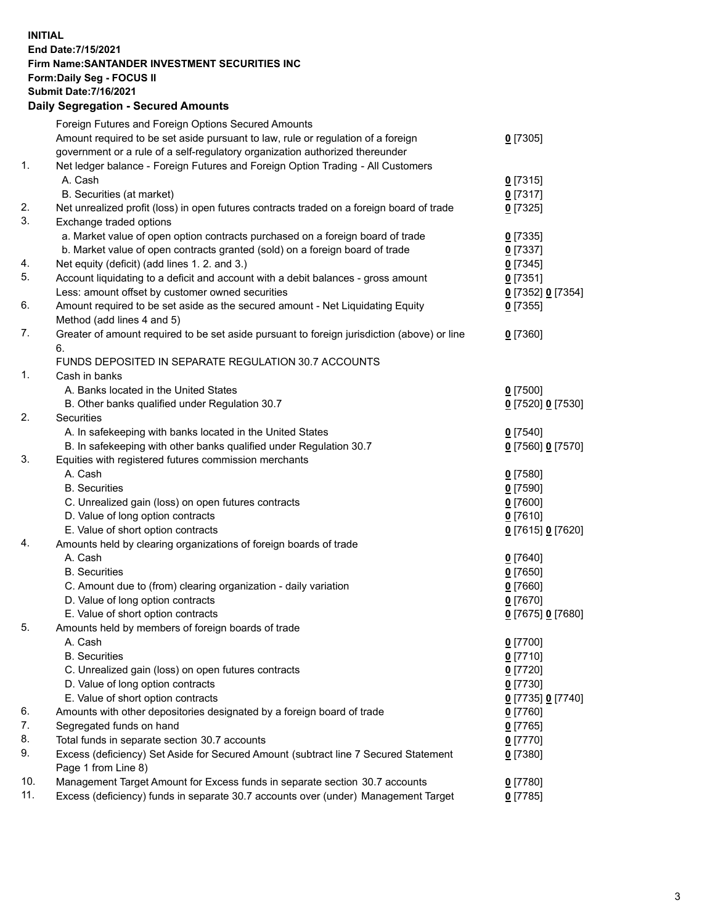**INITIAL End Date:7/15/2021 Firm Name:SANTANDER INVESTMENT SECURITIES INC Form:Daily Seg - FOCUS II Submit Date:7/16/2021 Daily Segregation - Secured Amounts**

|     | Foreign Futures and Foreign Options Secured Amounts                                         |                   |
|-----|---------------------------------------------------------------------------------------------|-------------------|
|     | Amount required to be set aside pursuant to law, rule or regulation of a foreign            | $0$ [7305]        |
|     | government or a rule of a self-regulatory organization authorized thereunder                |                   |
| 1.  | Net ledger balance - Foreign Futures and Foreign Option Trading - All Customers             |                   |
|     | A. Cash                                                                                     | $0$ [7315]        |
|     | B. Securities (at market)                                                                   | $0$ [7317]        |
| 2.  | Net unrealized profit (loss) in open futures contracts traded on a foreign board of trade   | $0$ [7325]        |
| 3.  | Exchange traded options                                                                     |                   |
|     | a. Market value of open option contracts purchased on a foreign board of trade              | $0$ [7335]        |
|     | b. Market value of open contracts granted (sold) on a foreign board of trade                | $0$ [7337]        |
| 4.  | Net equity (deficit) (add lines 1. 2. and 3.)                                               | $0$ [7345]        |
| 5.  | Account liquidating to a deficit and account with a debit balances - gross amount           | $0$ [7351]        |
|     | Less: amount offset by customer owned securities                                            | 0 [7352] 0 [7354] |
| 6.  | Amount required to be set aside as the secured amount - Net Liquidating Equity              | $0$ [7355]        |
|     | Method (add lines 4 and 5)                                                                  |                   |
| 7.  | Greater of amount required to be set aside pursuant to foreign jurisdiction (above) or line | $0$ [7360]        |
|     | 6.                                                                                          |                   |
|     | FUNDS DEPOSITED IN SEPARATE REGULATION 30.7 ACCOUNTS                                        |                   |
| 1.  | Cash in banks                                                                               |                   |
|     | A. Banks located in the United States                                                       | $0$ [7500]        |
|     | B. Other banks qualified under Regulation 30.7                                              | 0 [7520] 0 [7530] |
| 2.  | <b>Securities</b>                                                                           |                   |
|     | A. In safekeeping with banks located in the United States                                   | $0$ [7540]        |
|     | B. In safekeeping with other banks qualified under Regulation 30.7                          | 0 [7560] 0 [7570] |
| 3.  | Equities with registered futures commission merchants                                       |                   |
|     | A. Cash                                                                                     | $0$ [7580]        |
|     | <b>B.</b> Securities                                                                        | $0$ [7590]        |
|     | C. Unrealized gain (loss) on open futures contracts                                         | $0$ [7600]        |
|     | D. Value of long option contracts                                                           | $0$ [7610]        |
|     | E. Value of short option contracts                                                          | 0 [7615] 0 [7620] |
| 4.  | Amounts held by clearing organizations of foreign boards of trade                           |                   |
|     | A. Cash                                                                                     | $0$ [7640]        |
|     | <b>B.</b> Securities                                                                        | $0$ [7650]        |
|     | C. Amount due to (from) clearing organization - daily variation                             | $0$ [7660]        |
|     | D. Value of long option contracts                                                           | $0$ [7670]        |
|     | E. Value of short option contracts                                                          | 0 [7675] 0 [7680] |
| 5.  | Amounts held by members of foreign boards of trade                                          |                   |
|     | A. Cash                                                                                     | 0 [7700]          |
|     | <b>B.</b> Securities                                                                        | $0$ [7710]        |
|     | C. Unrealized gain (loss) on open futures contracts                                         | $0$ [7720]        |
|     | D. Value of long option contracts                                                           | $0$ [7730]        |
|     | E. Value of short option contracts                                                          | 0 [7735] 0 [7740] |
| 6.  | Amounts with other depositories designated by a foreign board of trade                      | $0$ [7760]        |
| 7.  | Segregated funds on hand                                                                    | $0$ [7765]        |
| 8.  | Total funds in separate section 30.7 accounts                                               | $0$ [7770]        |
| 9.  | Excess (deficiency) Set Aside for Secured Amount (subtract line 7 Secured Statement         | $0$ [7380]        |
|     | Page 1 from Line 8)                                                                         |                   |
| 10. | Management Target Amount for Excess funds in separate section 30.7 accounts                 | $0$ [7780]        |
| 11. | Excess (deficiency) funds in separate 30.7 accounts over (under) Management Target          | $0$ [7785]        |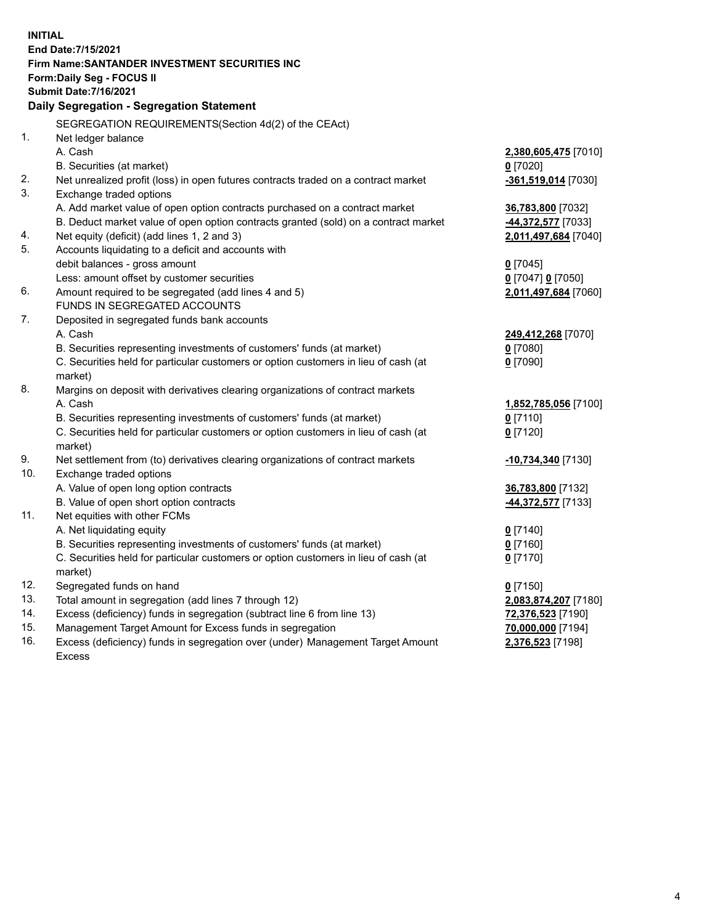| <b>INITIAL</b> |                                                                                            |                      |
|----------------|--------------------------------------------------------------------------------------------|----------------------|
|                | End Date: 7/15/2021                                                                        |                      |
|                | Firm Name: SANTANDER INVESTMENT SECURITIES INC                                             |                      |
|                | Form: Daily Seg - FOCUS II                                                                 |                      |
|                | <b>Submit Date: 7/16/2021</b>                                                              |                      |
|                | Daily Segregation - Segregation Statement                                                  |                      |
|                | SEGREGATION REQUIREMENTS(Section 4d(2) of the CEAct)                                       |                      |
| 1.             | Net ledger balance                                                                         |                      |
|                | A. Cash                                                                                    | 2,380,605,475 [7010] |
|                | B. Securities (at market)                                                                  | $0$ [7020]           |
| 2.             | Net unrealized profit (loss) in open futures contracts traded on a contract market         | -361,519,014 [7030]  |
| 3.             | Exchange traded options                                                                    |                      |
|                | A. Add market value of open option contracts purchased on a contract market                | 36,783,800 [7032]    |
|                | B. Deduct market value of open option contracts granted (sold) on a contract market        | -44,372,577 [7033]   |
| 4.             | Net equity (deficit) (add lines 1, 2 and 3)                                                | 2,011,497,684 [7040] |
| 5.             | Accounts liquidating to a deficit and accounts with                                        |                      |
|                | debit balances - gross amount                                                              | $0$ [7045]           |
|                | Less: amount offset by customer securities                                                 | 0 [7047] 0 [7050]    |
| 6.             | Amount required to be segregated (add lines 4 and 5)                                       | 2,011,497,684 [7060] |
|                | FUNDS IN SEGREGATED ACCOUNTS                                                               |                      |
| 7.             | Deposited in segregated funds bank accounts                                                |                      |
|                | A. Cash                                                                                    | 249,412,268 [7070]   |
|                | B. Securities representing investments of customers' funds (at market)                     | $0$ [7080]           |
|                | C. Securities held for particular customers or option customers in lieu of cash (at        | $0$ [7090]           |
|                | market)                                                                                    |                      |
| 8.             | Margins on deposit with derivatives clearing organizations of contract markets             |                      |
|                | A. Cash                                                                                    | 1,852,785,056 [7100] |
|                | B. Securities representing investments of customers' funds (at market)                     | $0$ [7110]           |
|                | C. Securities held for particular customers or option customers in lieu of cash (at        | $0$ [7120]           |
| 9.             | market)<br>Net settlement from (to) derivatives clearing organizations of contract markets |                      |
| 10.            | Exchange traded options                                                                    | -10,734,340 [7130]   |
|                | A. Value of open long option contracts                                                     | 36,783,800 [7132]    |
|                | B. Value of open short option contracts                                                    | 44,372,577 [7133]    |
| 11.            | Net equities with other FCMs                                                               |                      |
|                | A. Net liquidating equity                                                                  | $0$ [7140]           |
|                | B. Securities representing investments of customers' funds (at market)                     | $0$ [7160]           |
|                | C. Securities held for particular customers or option customers in lieu of cash (at        | $0$ [7170]           |
|                | market)                                                                                    |                      |
| 12.            | Segregated funds on hand                                                                   | $0$ [7150]           |
| 13.            | Total amount in segregation (add lines 7 through 12)                                       | 2,083,874,207 [7180] |
| 14.            | Excess (deficiency) funds in segregation (subtract line 6 from line 13)                    | 72,376,523 [7190]    |
| 15.            | Management Target Amount for Excess funds in segregation                                   | 70,000,000 [7194]    |
| 16.            | Excess (deficiency) funds in segregation over (under) Management Target Amount             | 2,376,523 [7198]     |
|                | Excess                                                                                     |                      |